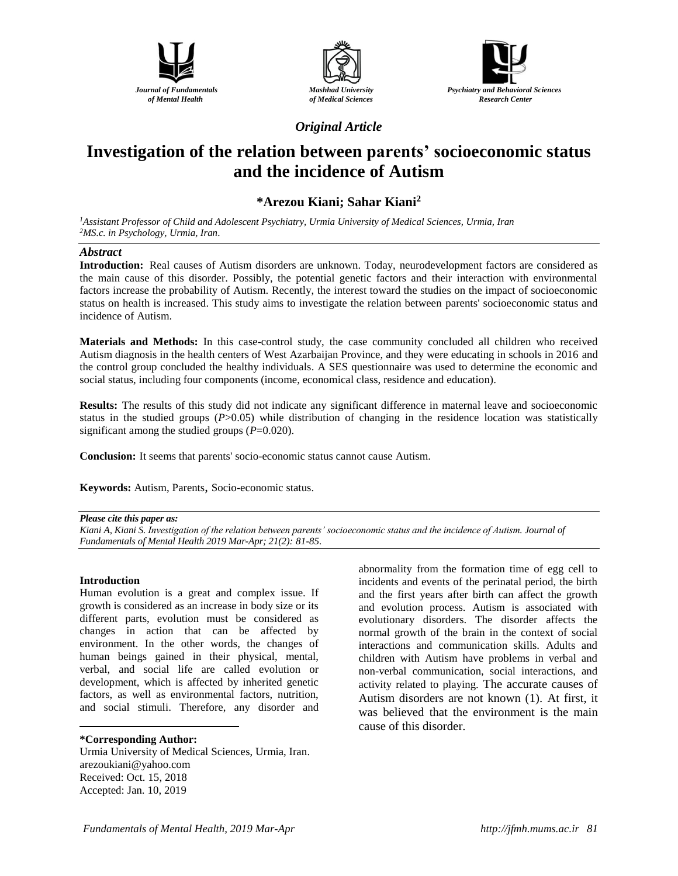





*Original Article*

# **Investigation of the relation between parents' socioeconomic status and the incidence of Autism**

## **\*Arezou Kiani; Sahar Kiani<sup>2</sup>**

*<sup>1</sup>Assistant Professor of Child and Adolescent Psychiatry, Urmia University of Medical Sciences, Urmia, Iran <sup>2</sup>MS.c. in Psychology, Urmia, Iran*.

## *Abstract*

**Introduction:** Real causes of Autism disorders are unknown. Today, neurodevelopment factors are considered as the main cause of this disorder. Possibly, the potential genetic factors and their interaction with environmental factors increase the probability of Autism. Recently, the interest toward the studies on the impact of socioeconomic status on health is increased. This study aims to investigate the relation between parents' socioeconomic status and incidence of Autism.

**Materials and Methods:** In this case-control study, the case community concluded all children who received Autism diagnosis in the health centers of West Azarbaijan Province, and they were educating in schools in 2016 and the control group concluded the healthy individuals. A SES questionnaire was used to determine the economic and social status, including four components (income, economical class, residence and education).

**Results:** The results of this study did not indicate any significant difference in maternal leave and socioeconomic status in the studied groups (*P*>0.05) while distribution of changing in the residence location was statistically significant among the studied groups (*P*=0.020).

**Conclusion:** It seems that parents' socio-economic status cannot cause Autism.

**Keywords:** Autism, Parents, Socio-economic status.

#### *Please cite this paper as:*

*Kiani A, Kiani S. Investigation of the relation between parents' socioeconomic status and the incidence of Autism. Journal of Fundamentals of Mental Health 2019 Mar-Apr; 21(2): 81-85*.

### **Introduction**

 $\overline{a}$ 

Human evolution is a great and complex issue. If growth is considered as an increase in body size or its different parts, evolution must be considered as changes in action that can be affected by environment. In the other words, the changes of human beings gained in their physical, mental, verbal, and social life are called evolution or development, which is affected by inherited genetic factors, as well as environmental factors, nutrition, and social stimuli. Therefore, any disorder and

### **\*Corresponding Author:**

Urmia University of Medical Sciences, Urmia, Iran. [arezoukiani@yahoo.com](mailto:arezoukiani@yahoo.com) Received: Oct. 15, 2018 Accepted: Jan. 10, 2019

abnormality from the formation time of egg cell to incidents and events of the perinatal period, the birth and the first years after birth can affect the growth and evolution process. Autism is associated with evolutionary disorders. The disorder affects the normal growth of the brain in the context of social interactions and communication skills. Adults and children with Autism have problems in verbal and non-verbal communication, social interactions, and activity related to playing. The accurate causes of Autism disorders are not known (1). At first, it was believed that the environment is the main cause of this disorder.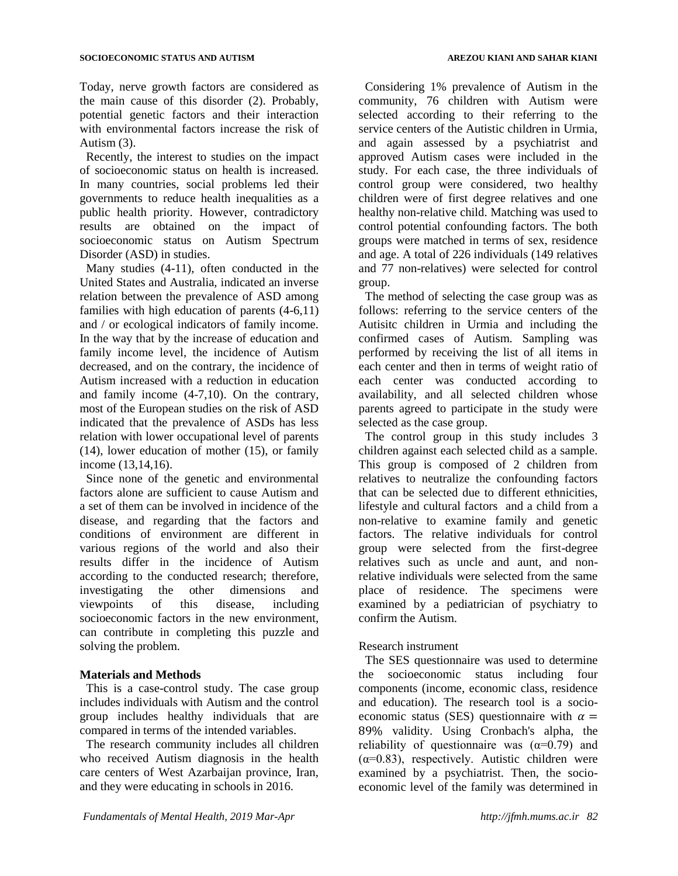Today, nerve growth factors are considered as the main cause of this disorder (2). Probably, potential genetic factors and their interaction with environmental factors increase the risk of Autism (3).

Recently, the interest to studies on the impact of socioeconomic status on health is increased. In many countries, social problems led their governments to reduce health inequalities as a public health priority. However, contradictory results are obtained on the impact of socioeconomic status on Autism Spectrum Disorder (ASD) in studies.

Many studies (4-11), often conducted in the United States and Australia, indicated an inverse relation between the prevalence of ASD among families with high education of parents (4-6,11) and / or ecological indicators of family income. In the way that by the increase of education and family income level, the incidence of Autism decreased, and on the contrary, the incidence of Autism increased with a reduction in education and family income (4-7,10). On the contrary, most of the European studies on the risk of ASD indicated that the prevalence of ASDs has less relation with lower occupational level of parents (14), lower education of mother (15), or family income (13,14,16).

Since none of the genetic and environmental factors alone are sufficient to cause Autism and a set of them can be involved in incidence of the disease, and regarding that the factors and conditions of environment are different in various regions of the world and also their results differ in the incidence of Autism according to the conducted research; therefore, investigating the other dimensions and viewpoints of this disease, including socioeconomic factors in the new environment, can contribute in completing this puzzle and solving the problem.

## **Materials and Methods**

This is a case-control study. The case group includes individuals with Autism and the control group includes healthy individuals that are compared in terms of the intended variables.

The research community includes all children who received Autism diagnosis in the health care centers of West Azarbaijan province, Iran, and they were educating in schools in 2016.

Considering 1% prevalence of Autism in the community, 76 children with Autism were selected according to their referring to the service centers of the Autistic children in Urmia, and again assessed by a psychiatrist and approved Autism cases were included in the study. For each case, the three individuals of control group were considered, two healthy children were of first degree relatives and one healthy non-relative child. Matching was used to control potential confounding factors. The both groups were matched in terms of sex, residence and age. A total of 226 individuals (149 relatives and 77 non-relatives) were selected for control group.

The method of selecting the case group was as follows: referring to the service centers of the Autisitc children in Urmia and including the confirmed cases of Autism. Sampling was performed by receiving the list of all items in each center and then in terms of weight ratio of each center was conducted according to availability, and all selected children whose parents agreed to participate in the study were selected as the case group.

The control group in this study includes 3 children against each selected child as a sample. This group is composed of 2 children from relatives to neutralize the confounding factors that can be selected due to different ethnicities, lifestyle and cultural factors and a child from a non-relative to examine family and genetic factors. The relative individuals for control group were selected from the first-degree relatives such as uncle and aunt, and nonrelative individuals were selected from the same place of residence. The specimens were examined by a pediatrician of psychiatry to confirm the Autism.

## Research instrument

The SES questionnaire was used to determine the socioeconomic status including four components (income, economic class, residence and education). The research tool is a socioeconomic status (SES) questionnaire with  $\alpha =$ 89% validity. Using Cronbach's alpha, the reliability of questionnaire was  $(\alpha=0.79)$  and  $(\alpha=0.83)$ , respectively. Autistic children were examined by a psychiatrist. Then, the socioeconomic level of the family was determined in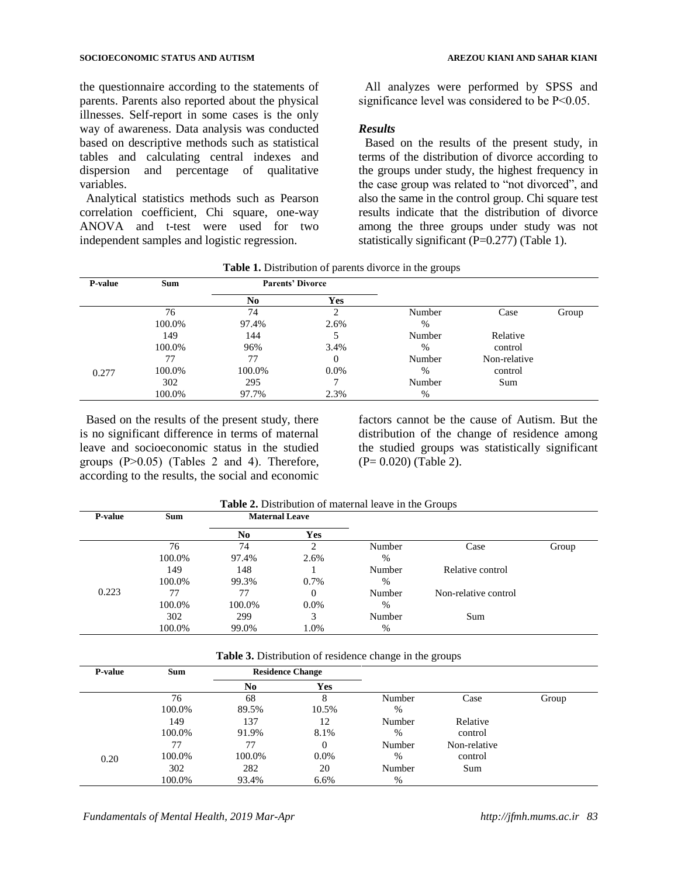the questionnaire according to the statements of parents. Parents also reported about the physical illnesses. Self-report in some cases is the only way of awareness. Data analysis was conducted based on descriptive methods such as statistical tables and calculating central indexes and dispersion and percentage of qualitative variables.

Analytical statistics methods such as Pearson correlation coefficient, Chi square, one-way ANOVA and t-test were used for two independent samples and logistic regression.

All analyzes were performed by SPSS and significance level was considered to be P˂0.05.

## *Results*

Based on the results of the present study, in terms of the distribution of divorce according to the groups under study, the highest frequency in the case group was related to "not divorced", and also the same in the control group. Chi square test results indicate that the distribution of divorce among the three groups under study was not statistically significant  $(P=0.277)$  (Table 1).

| <b>P-value</b> | <b>Sum</b> |                | <b>Parents' Divorce</b> |               |              |       |
|----------------|------------|----------------|-------------------------|---------------|--------------|-------|
|                |            | N <sub>0</sub> | <b>Yes</b>              |               |              |       |
|                | 76         | 74             |                         | Number        | Case         | Group |
|                | 100.0%     | 97.4%          | 2.6%                    | $\frac{0}{0}$ |              |       |
|                | 149        | 144            |                         | Number        | Relative     |       |
|                | 100.0%     | 96%            | 3.4%                    | $\%$          | control      |       |
| 0.277          | 77         | 77             | 0                       | Number        | Non-relative |       |
|                | 100.0%     | 100.0%         | $0.0\%$                 | $\%$          | control      |       |
|                | 302        | 295            |                         | Number        | Sum          |       |
|                | 100.0%     | 97.7%          | 2.3%                    | $\%$          |              |       |

**Table 1.** Distribution of parents divorce in the groups

Based on the results of the present study, there is no significant difference in terms of maternal leave and socioeconomic status in the studied groups  $(P>0.05)$  (Tables 2 and 4). Therefore, according to the results, the social and economic

factors cannot be the cause of Autism. But the distribution of the change of residence among the studied groups was statistically significant (P= 0.020) (Table 2).

| <b>P-value</b> | <b>Sum</b> | <b>Maternal Leave</b> |            |        |                      |       |
|----------------|------------|-----------------------|------------|--------|----------------------|-------|
|                |            | N <sub>0</sub>        | <b>Yes</b> |        |                      |       |
|                | 76         | 74                    |            | Number | Case                 | Group |
|                | 100.0%     | 97.4%                 | 2.6%       | $\%$   |                      |       |
|                | 149        | 148                   |            | Number | Relative control     |       |
|                | 100.0%     | 99.3%                 | 0.7%       | $\%$   |                      |       |
| 0.223          | 77         | 77                    | 0          | Number | Non-relative control |       |
|                | 100.0%     | 100.0%                | $0.0\%$    | $\%$   |                      |       |
|                | 302        | 299                   | 3          | Number | Sum                  |       |
|                | 100.0%     | 99.0%                 | 1.0%       | %      |                      |       |

**Table 2.** Distribution of maternal leave in the Groups

**Table 3.** Distribution of residence change in the groups

| P-value | <b>Sum</b> | <b>Residence Change</b> |            |        |              |       |
|---------|------------|-------------------------|------------|--------|--------------|-------|
|         |            | N <sub>0</sub>          | <b>Yes</b> |        |              |       |
|         | 76         | 68                      |            | Number | Case         | Group |
|         | 100.0%     | 89.5%                   | 10.5%      | %      |              |       |
|         | 149        | 137                     | 12         | Number | Relative     |       |
|         | 100.0%     | 91.9%                   | 8.1%       | %      | control      |       |
|         | 77         | 77                      | 0          | Number | Non-relative |       |
| 0.20    | 100.0%     | 100.0%                  | $0.0\%$    | %      | control      |       |
|         | 302        | 282                     | 20         | Number | Sum          |       |
|         | 100.0%     | 93.4%                   | 6.6%       | %      |              |       |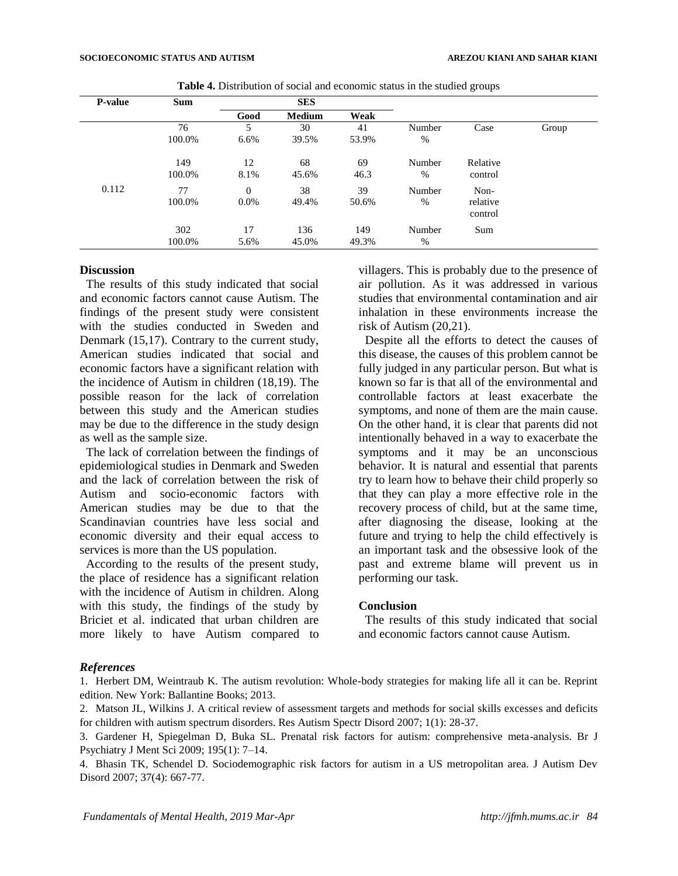| P-value | <b>Sum</b> | <b>SES</b>     |               |       |        |                     |       |
|---------|------------|----------------|---------------|-------|--------|---------------------|-------|
|         |            | Good           | <b>Medium</b> | Weak  |        |                     |       |
|         | 76         | 5              | 30            | 41    | Number | Case                | Group |
|         | 100.0%     | 6.6%           | 39.5%         | 53.9% | %      |                     |       |
|         | 149        | 12             | 68            | 69    | Number | Relative            |       |
|         | 100.0%     | 8.1%           | 45.6%         | 46.3  | %      | control             |       |
| 0.112   | 77         | $\overline{0}$ | 38            | 39    | Number | Non-                |       |
|         | 100.0%     | $0.0\%$        | 49.4%         | 50.6% | $\%$   | relative<br>control |       |
|         | 302        | 17             | 136           | 149   | Number | Sum                 |       |
|         | 100.0%     | 5.6%           | 45.0%         | 49.3% | $\%$   |                     |       |

**Table 4.** Distribution of social and economic status in the studied groups

## **Discussion**

The results of this study indicated that social and economic factors cannot cause Autism. The findings of the present study were consistent with the studies conducted in Sweden and Denmark (15,17). Contrary to the current study, American studies indicated that social and economic factors have a significant relation with the incidence of Autism in children (18,19). The possible reason for the lack of correlation between this study and the American studies may be due to the difference in the study design as well as the sample size.

The lack of correlation between the findings of epidemiological studies in Denmark and Sweden and the lack of correlation between the risk of Autism and socio-economic factors with American studies may be due to that the Scandinavian countries have less social and economic diversity and their equal access to services is more than the US population.

According to the results of the present study, the place of residence has a significant relation with the incidence of Autism in children. Along with this study, the findings of the study by Briciet et al. indicated that urban children are more likely to have Autism compared to

villagers. This is probably due to the presence of air pollution. As it was addressed in various studies that environmental contamination and air inhalation in these environments increase the risk of Autism (20,21).

Despite all the efforts to detect the causes of this disease, the causes of this problem cannot be fully judged in any particular person. But what is known so far is that all of the environmental and controllable factors at least exacerbate the symptoms, and none of them are the main cause. On the other hand, it is clear that parents did not intentionally behaved in a way to exacerbate the symptoms and it may be an unconscious behavior. It is natural and essential that parents try to learn how to behave their child properly so that they can play a more effective role in the recovery process of child, but at the same time, after diagnosing the disease, looking at the future and trying to help the child effectively is an important task and the obsessive look of the past and extreme blame will prevent us in performing our task.

### **Conclusion**

The results of this study indicated that social and economic factors cannot cause Autism.

## *References*

1. Herbert DM, Weintraub K. The autism revolution: Whole-body strategies for making life all it can be. Reprint edition. New York: Ballantine Books; 2013.

2. Matson JL, Wilkins J. A critical review of assessment targets and methods for social skills excesses and deficits for children with autism spectrum disorders. Res Autism Spectr Disord 2007; 1(1): 28-37.

3. Gardener H, Spiegelman D, Buka SL. Prenatal risk factors for autism: comprehensive meta-analysis. Br J Psychiatry J Ment Sci 2009; 195(1): 7–14.

4. Bhasin TK, Schendel D. Sociodemographic risk factors for autism in a US metropolitan area. J Autism Dev Disord 2007; 37(4): 667-77.